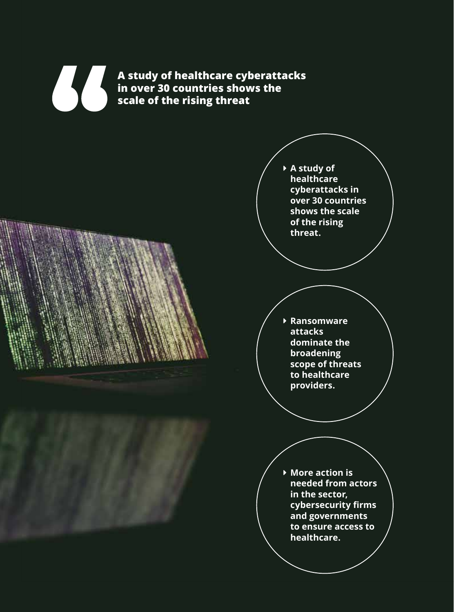**A study of healthcare cyberattacks in over 30 countries shows the scale of the rising threat**

> **▶ A study of healthcare cyberattacks in over 30 countries shows the scale of the rising threat.**

**▶ Ransomware attacks dominate the broadening scope of threats to healthcare providers.**

**▶ More action is needed from actors in the sector, cybersecurity firms and governments to ensure access to healthcare.**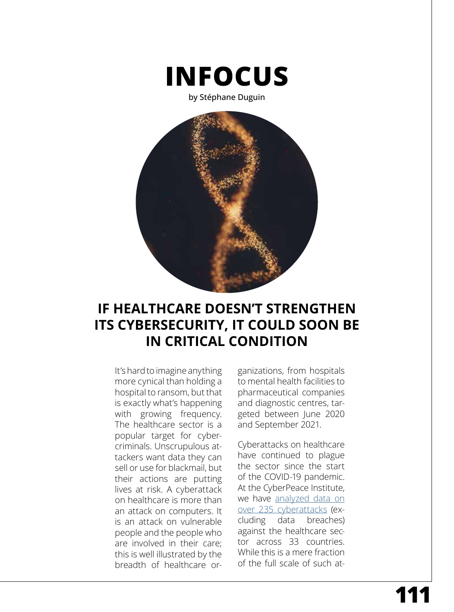

by Stéphane Duguin



## **IF HEALTHCARE DOESN'T STRENGTHEN ITS CYBERSECURITY, IT COULD SOON BE IN CRITICAL CONDITION**

It's hard to imagine anything more cynical than holding a hospital to ransom, but that is exactly what's happening with growing frequency. The healthcare sector is a popular target for cybercriminals. Unscrupulous attackers want data they can sell or use for blackmail, but their actions are putting lives at risk. A cyberattack on healthcare is more than an attack on computers. It is an attack on vulnerable people and the people who are involved in their care; this is well illustrated by the breadth of healthcare or-

ganizations, from hospitals to mental health facilities to pharmaceutical companies and diagnostic centres, targeted between June 2020 and September 2021.

Cyberattacks on healthcare have continued to plague the sector since the start of the COVID-19 pandemic. At the CyberPeace Institute, we have [analyzed data on](https://cit.cyberpeaceinstitute.org/)  [over 235 cyberattacks](https://cit.cyberpeaceinstitute.org/) (excluding data breaches) against the healthcare sector across 33 countries. While this is a mere fraction of the full scale of such at-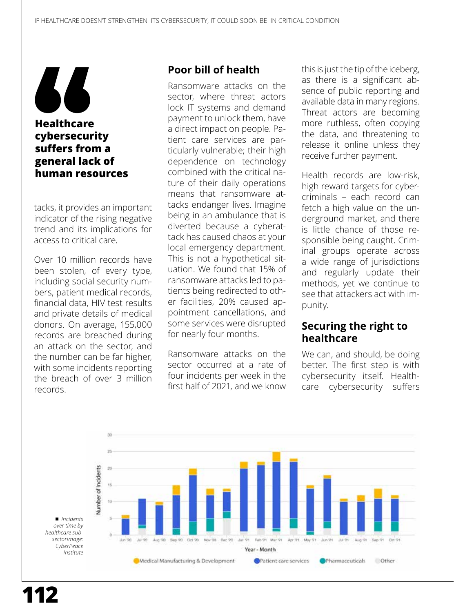

tacks, it provides an important indicator of the rising negative trend and its implications for access to critical care.

Over 10 million records have been stolen, of every type, including social security numbers, patient medical records, financial data, HIV test results and private details of medical donors. On average, 155,000 records are breached during an attack on the sector, and the number can be far higher, with some incidents reporting the breach of over 3 million records.

## **Poor bill of health**

Ransomware attacks on the sector, where threat actors lock IT systems and demand payment to unlock them, have a direct impact on people. Patient care services are particularly vulnerable; their high dependence on technology combined with the critical nature of their daily operations means that ransomware attacks endanger lives. Imagine being in an ambulance that is diverted because a cyberattack has caused chaos at your local emergency department. This is not a hypothetical situation. We found that 15% of ransomware attacks led to patients being redirected to other facilities, 20% caused appointment cancellations, and some services were disrupted for nearly four months.

Ransomware attacks on the sector occurred at a rate of four incidents per week in the first half of 2021, and we know this is just the tip of the iceberg, as there is a significant absence of public reporting and available data in many regions. Threat actors are becoming more ruthless, often copying the data, and threatening to release it online unless they receive further payment.

Health records are low-risk, high reward targets for cybercriminals – each record can fetch a high value on the underground market, and there is little chance of those responsible being caught. Criminal groups operate across a wide range of jurisdictions and regularly update their methods, yet we continue to see that attackers act with impunity.

## **Securing the right to healthcare**

We can, and should, be doing better. The first step is with cybersecurity itself. Healthcare cybersecurity suffers

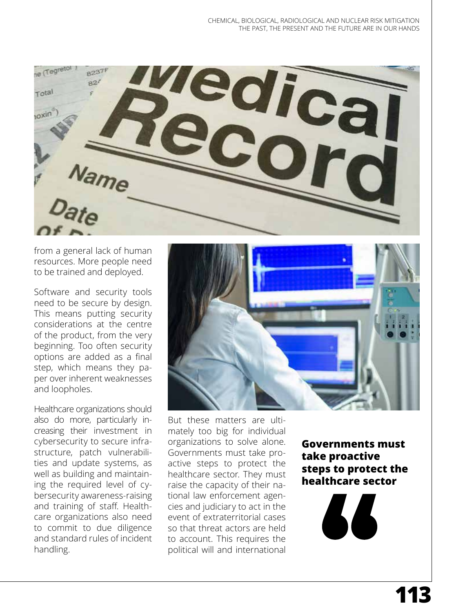

from a general lack of human resources. More people need to be trained and deployed.

Software and security tools need to be secure by design. This means putting security considerations at the centre of the product, from the very beginning. Too often security options are added as a final step, which means they paper over inherent weaknesses and loopholes.

Healthcare organizations should also do more, particularly increasing their investment in cybersecurity to secure infrastructure, patch vulnerabilities and update systems, as well as building and maintaining the required level of cybersecurity awareness-raising and training of staff. Healthcare organizations also need to commit to due diligence and standard rules of incident handling.



But these matters are ultimately too big for individual organizations to solve alone. Governments must take proactive steps to protect the healthcare sector. They must raise the capacity of their national law enforcement agencies and judiciary to act in the event of extraterritorial cases so that threat actors are held to account. This requires the political will and international

**Governments must take proactive steps to protect the healthcare sector**

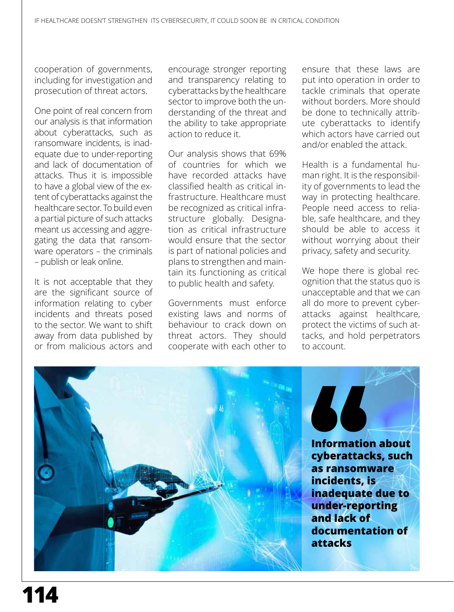cooperation of governments, including for investigation and prosecution of threat actors.

One point of real concern from our analysis is that information about cyberattacks, such as ransomware incidents, is inadequate due to under-reporting and lack of documentation of attacks. Thus it is impossible to have a global view of the extent of cyberattacks against the healthcare sector. To build even a partial picture of such attacks meant us accessing and aggregating the data that ransomware operators – the criminals – publish or leak online.

It is not acceptable that they are the significant source of information relating to cyber incidents and threats posed to the sector. We want to shift away from data published by or from malicious actors and

encourage stronger reporting and transparency relating to cyberattacks by the healthcare sector to improve both the understanding of the threat and the ability to take appropriate action to reduce it.

Our analysis shows that 69% of countries for which we have recorded attacks have classified health as critical infrastructure. Healthcare must be recognized as critical infrastructure globally. Designation as critical infrastructure would ensure that the sector is part of national policies and plans to strengthen and maintain its functioning as critical to public health and safety.

Governments must enforce existing laws and norms of behaviour to crack down on threat actors. They should cooperate with each other to

ensure that these laws are put into operation in order to tackle criminals that operate without borders. More should be done to technically attribute cyberattacks to identify which actors have carried out and/or enabled the attack.

Health is a fundamental human right. It is the responsibility of governments to lead the way in protecting healthcare. People need access to reliable, safe healthcare, and they should be able to access it without worrying about their privacy, safety and security.

We hope there is global recognition that the status quo is unacceptable and that we can all do more to prevent cyberattacks against healthcare, protect the victims of such attacks, and hold perpetrators to account.